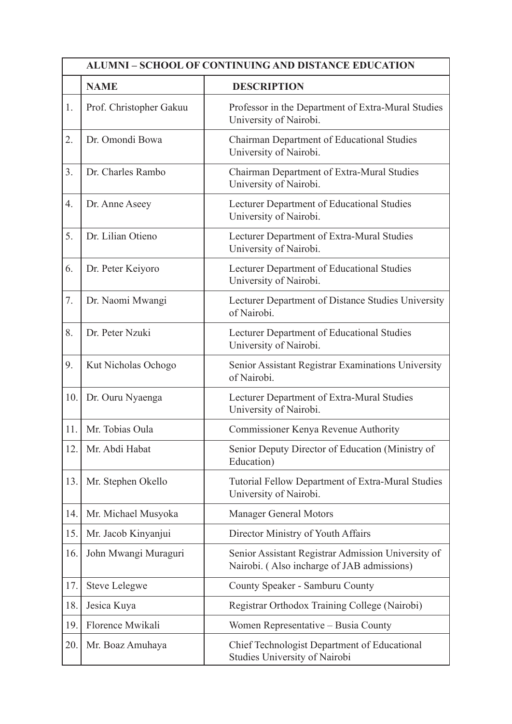| <b>ALUMNI – SCHOOL OF CONTINUING AND DISTANCE EDUCATION</b> |                         |                                                                                                  |
|-------------------------------------------------------------|-------------------------|--------------------------------------------------------------------------------------------------|
|                                                             | <b>NAME</b>             | <b>DESCRIPTION</b>                                                                               |
| 1.                                                          | Prof. Christopher Gakuu | Professor in the Department of Extra-Mural Studies<br>University of Nairobi.                     |
| 2.                                                          | Dr. Omondi Bowa         | Chairman Department of Educational Studies<br>University of Nairobi.                             |
| 3.                                                          | Dr. Charles Rambo       | Chairman Department of Extra-Mural Studies<br>University of Nairobi.                             |
| 4.                                                          | Dr. Anne Aseey          | Lecturer Department of Educational Studies<br>University of Nairobi.                             |
| 5.                                                          | Dr. Lilian Otieno       | Lecturer Department of Extra-Mural Studies<br>University of Nairobi.                             |
| 6.                                                          | Dr. Peter Keiyoro       | Lecturer Department of Educational Studies<br>University of Nairobi.                             |
| 7.                                                          | Dr. Naomi Mwangi        | Lecturer Department of Distance Studies University<br>of Nairobi.                                |
| 8.                                                          | Dr. Peter Nzuki         | Lecturer Department of Educational Studies<br>University of Nairobi.                             |
| 9.                                                          | Kut Nicholas Ochogo     | Senior Assistant Registrar Examinations University<br>of Nairobi.                                |
| 10.                                                         | Dr. Ouru Nyaenga        | Lecturer Department of Extra-Mural Studies<br>University of Nairobi.                             |
| 11.                                                         | Mr. Tobias Oula         | Commissioner Kenya Revenue Authority                                                             |
| 12.                                                         | Mr. Abdi Habat          | Senior Deputy Director of Education (Ministry of<br>Education)                                   |
| 13.                                                         | Mr. Stephen Okello      | Tutorial Fellow Department of Extra-Mural Studies<br>University of Nairobi.                      |
| 14.                                                         | Mr. Michael Musyoka     | <b>Manager General Motors</b>                                                                    |
| 15.                                                         | Mr. Jacob Kinyanjui     | Director Ministry of Youth Affairs                                                               |
| 16.                                                         | John Mwangi Muraguri    | Senior Assistant Registrar Admission University of<br>Nairobi. (Also incharge of JAB admissions) |
| 17.                                                         | <b>Steve Lelegwe</b>    | County Speaker - Samburu County                                                                  |
| 18.                                                         | Jesica Kuya             | Registrar Orthodox Training College (Nairobi)                                                    |
| 19.                                                         | Florence Mwikali        | Women Representative – Busia County                                                              |
| 20.                                                         | Mr. Boaz Amuhaya        | Chief Technologist Department of Educational<br>Studies University of Nairobi                    |